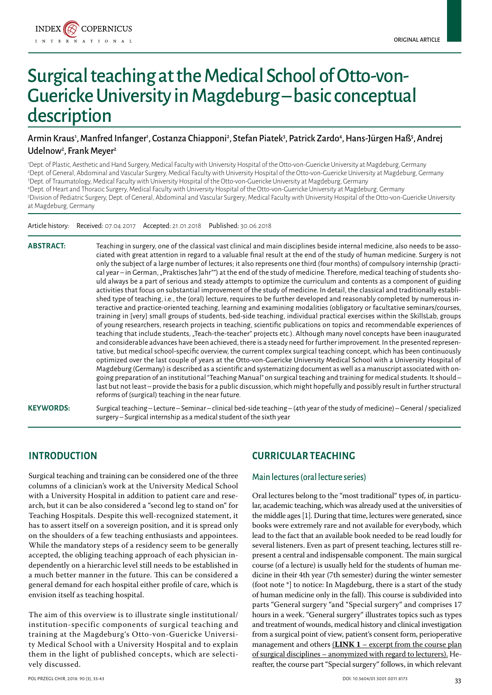

# Surgical teaching at the Medical School of Otto-von-Guericke University in Magdeburg – basic conceptual description

# Armin Kraus', Manfred Infanger', Costanza Chiapponi<sup>2</sup>, Stefan Piatek<sup>3</sup>, Patrick Zardo<sup>4</sup>, Hans-Jürgen Haß<sup>5</sup>, Andrej Udelnow<sup>2</sup>, Frank Meyer<sup>2</sup>

 Dept. of Plastic, Aesthetic and Hand Surgery, Medical Faculty with University Hospital of the Otto-von-Guericke University at Magdeburg, Germany Dept. of General, Abdominal and Vascular Surgery, Medical Faculty with University Hospital of the Otto-von-Guericke University at Magdeburg, Germany Dept. of Traumatology, Medical Faculty with University Hospital of the Otto-von-Guericke University at Magdeburg, Germany Dept. of Heart and Thoracic Surgery, Medical Faculty with University Hospital of the Otto-von-Guericke University at Magdeburg, Germany Division of Pediatric Surgery, Dept. of General, Abdominal and Vascular Surgery; Medical Faculty with University Hospital of the Otto-von-Guericke University at Magdeburg, Germany

Article history: Received: 07.04.2017 Accepted: 21.01.2018 Published: 30.06.2018

**Abstract:** Teaching in surgery, one of the classical vast clinical and main disciplines beside internal medicine, also needs to be associated with great attention in regard to a valuable final result at the end of the study of human medicine. Surgery is not only the subject of a large number of lectures; it also represents one third (four months) of compulsory internship (practical year – in German, "Praktisches Jahr"") at the end of the study of medicine. Therefore, medical teaching of students should always be a part of serious and steady attempts to optimize the curriculum and contents as a component of guiding activities that focus on substantial improvement of the study of medicine. In detail, the classical and traditionally established type of teaching, i.e., the (oral) lecture, requires to be further developed and reasonably completed by numerous interactive and practice-oriented teaching, learning and examining modalities (obligatory or facultative seminars/courses, training in [very] small groups of students, bed-side teaching, individual practical exercises within the SkillsLab, groups of young researchers, research projects in teaching, scientific publications on topics and recommendable experiences of teaching that include students, "Teach-the-teacher" projects etc.). Although many novel concepts have been inaugurated and considerable advances have been achieved, there is a steady need for further improvement. In the presented representative, but medical school-specific overview, the current complex surgical teaching concept, which has been continuously optimized over the last couple of years at the Otto-von-Guericke University Medical School with a University Hospital of Magdeburg (Germany) is described as a scientific and systematizing document as well as a manuscript associated with ongoing preparation of an institutional "Teaching Manual" on surgical teaching and training for medical students. It should – last but not least – provide the basis for a public discussion, which might hopefully and possibly result in further structural reforms of (surgical) teaching in the near future.

**Keywords:** Surgical teaching – Lecture – Seminar – clinical bed-side teaching – (4th year of the study of medicine) – General / specialized surgery – Surgical internship as a medical student of the sixth year

# **Introduction**

Surgical teaching and training can be considered one of the three columns of a clinician's work at the University Medical School with a University Hospital in addition to patient care and research, but it can be also considered a "second leg to stand on" for Teaching Hospitals. Despite this well-recognized statement, it has to assert itself on a sovereign position, and it is spread only on the shoulders of a few teaching enthusiasts and appointees. While the mandatory steps of a residency seem to be generally accepted, the obliging teaching approach of each physician independently on a hierarchic level still needs to be established in a much better manner in the future. This can be considered a general demand for each hospital either profile of care, which is envision itself as teaching hospital.

The aim of this overview is to illustrate single institutional/ institution-specific components of surgical teaching and training at the Magdeburg's Otto-von-Guericke University Medical School with a University Hospital and to explain them in the light of published concepts, which are selectively discussed.

# **Curricular teaching**

### Main lectures (oral lecture series)

Oral lectures belong to the "most traditional" types of, in particular, academic teaching, which was already used at the universities of the middle ages [1]. During that time, lectures were generated, since books were extremely rare and not available for everybody, which lead to the fact that an available book needed to be read loudly for several listeners. Even as part of present teaching, lectures still represent a central and indispensable component. The main surgical course (of a lecture) is usually held for the students of human medicine in their 4th year (7th semester) during the winter semester (foot note \*] to notice: In Magdeburg, there is a start of the study of human medicine only in the fall). This course is subdivided into parts "General surgery "and "Special surgery" and comprises 17 hours in a week. "General surgery" illustrates topics such as types and treatment of wounds, medical history and clinical investigation from a surgical point of view, patient's consent form, perioperative management and others (**LINK 1** [– excerpt from the course plan](http://ppch.pl/api/myfiles/download/458738) [of surgical disciplines – anonymized with regard to lecturers\)](http://ppch.pl/api/myfiles/download/458738). Hereafter, the course part "Special surgery" follows, in which relevant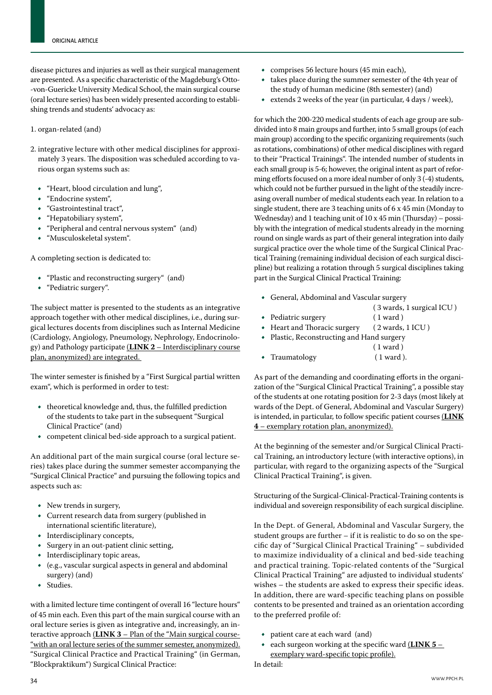disease pictures and injuries as well as their surgical management are presented. As a specific characteristic of the Magdeburg's Otto- -von-Guericke University Medical School, the main surgical course (oral lecture series) has been widely presented according to establishing trends and students' advocacy as:

#### 1. organ-related (and)

- 2. integrative lecture with other medical disciplines for approximately 3 years. The disposition was scheduled according to various organ systems such as:
	- • "Heart, blood circulation and lung",
	- • "Endocrine system",
	- • "Gastrointestinal tract",
	- • "Hepatobiliary system",
	- • "Peripheral and central nervous system" (and)
	- • "Musculoskeletal system".

A completing section is dedicated to:

- "Plastic and reconstructing surgery" (and)
- • "Pediatric surgery".

The subject matter is presented to the students as an integrative approach together with other medical disciplines, i.e., during surgical lectures docents from disciplines such as Internal Medicine (Cardiology, Angiology, Pneumology, Nephrology, Endocrinology) and Pathology participate (**LINK 2** [– Interdisciplinary course](http://ppch.pl/api/myfiles/download/458740)  [plan, anonymized\)](http://ppch.pl/api/myfiles/download/458740) are integrated.

The winter semester is finished by a "First Surgical partial written exam", which is performed in order to test:

- • theoretical knowledge and, thus, the fulfilled prediction of the students to take part in the subsequent "Surgical Clinical Practice" (and)
- • competent clinical bed-side approach to a surgical patient.

An additional part of the main surgical course (oral lecture series) takes place during the summer semester accompanying the "Surgical Clinical Practice" and pursuing the following topics and aspects such as:

- New trends in surgery,
- • Current research data from surgery (published in international scientific literature),
- Interdisciplinary concepts,
- • Surgery in an out-patient clinic setting,
- Interdisciplinary topic areas,
- $(e.g., vascular surgical aspects in general and abdominal$ surgery) (and)
- • Studies.

with a limited lecture time contingent of overall 16 "lecture hours" of 45 min each. Even this part of the main surgical course with an oral lecture series is given as integrative and, increasingly, an interactive approach (**LINK 3** – [Plan of the "Main surgical course-](http://ppch.pl/api/myfiles/download/459089) ["with an oral lecture series of the summer semester, anonymized\).](http://ppch.pl/api/myfiles/download/459089) "Surgical Clinical Practice and Practical Training" (in German, "Blockpraktikum") Surgical Clinical Practice:

- • comprises 56 lecture hours (45 min each),
- takes place during the summer semester of the 4th year of the study of human medicine (8th semester) (and)
- extends 2 weeks of the year (in particular, 4 days / week),

for which the 200-220 medical students of each age group are subdivided into 8 main groups and further, into 5 small groups (of each main group) according to the specific organizing requirements (such as rotations, combinations) of other medical disciplines with regard to their "Practical Trainings". The intended number of students in each small group is 5-6; however, the original intent as part of reforming efforts focused on a more ideal number of only 3 (-4) students, which could not be further pursued in the light of the steadily increasing overall number of medical students each year. In relation to a single student, there are 3 teaching units of 6 x 45 min (Monday to Wednesday) and 1 teaching unit of 10 x 45 min (Thursday) – possibly with the integration of medical students already in the morning round on single wards as part of their general integration into daily surgical practice over the whole time of the Surgical Clinical Practical Training (remaining individual decision of each surgical discipline) but realizing a rotation through 5 surgical disciplines taking part in the Surgical Clinical Practical Training:

- • General, Abdominal and Vascular surgery
	- ( 3 wards, 1 surgical ICU )
- 
- Pediatric surgery (1 ward )<br>• Heart and Thoracic surgery (2 wards, 1 ICU )  $\bullet$  Heart and Thoracic surgery
- • Plastic, Reconstructing and Hand surgery
- ( 1 ward ) • Traumatology (1 ward ).

As part of the demanding and coordinating efforts in the organization of the "Surgical Clinical Practical Training", a possible stay of the students at one rotating position for 2-3 days (most likely at wards of the Dept. of General, Abdominal and Vascular Surgery) is intended, in particular, to follow specific patient courses (**[LINK](http://ppch.pl/api/myfiles/download/458741) 4** [– exemplary rotation plan, anonymized\).](http://ppch.pl/api/myfiles/download/458741)

At the beginning of the semester and/or Surgical Clinical Practical Training, an introductory lecture (with interactive options), in particular, with regard to the organizing aspects of the "Surgical Clinical Practical Training", is given.

Structuring of the Surgical-Clinical-Practical-Training contents is individual and sovereign responsibility of each surgical discipline.

In the Dept. of General, Abdominal and Vascular Surgery, the student groups are further – if it is realistic to do so on the specific day of "Surgical Clinical Practical Training" – subdivided to maximize individuality of a clinical and bed-side teaching and practical training. Topic-related contents of the "Surgical Clinical Practical Training" are adjusted to individual students' wishes – the students are asked to express their specific ideas. In addition, there are ward-specific teaching plans on possible contents to be presented and trained as an orientation according to the preferred profile of:

- • patient care at each ward (and)
- each surgeon working at the specific ward (**[LINK 5](http://ppch.pl/api/myfiles/download/459093)** [exemplary ward-specific topic profile\).](http://ppch.pl/api/myfiles/download/459093)

In detail: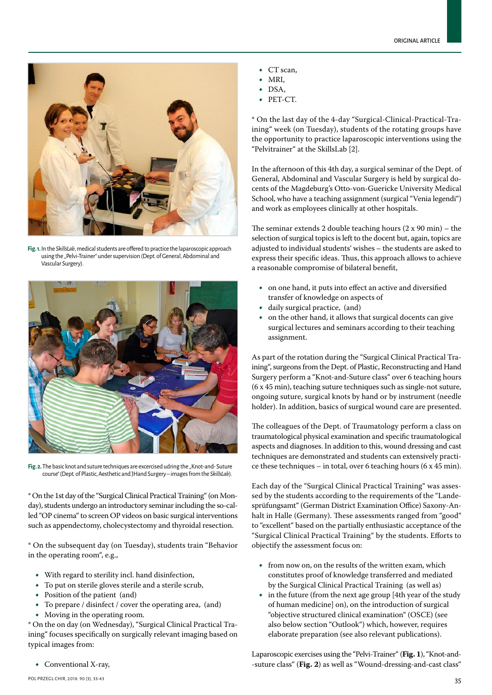

**Fig. 1.** In the *SkillsLab*, medical students are offered to practice the laparoscopic approach using the "Pelvi-Trainer" under supervision (Dept. of General, Abdominal and Vascular Surgery).



Fig. 2. The basic knot and suture techniques are excercised udring the "Knot-and-Suture course" (Dept. of Plastic, Aesthetic and JHand Surgery – images from the *SkillsLab*).

\* On the 1st day of the "Surgical Clinical Practical Training" (on Monday), students undergo an introductory seminar including the so-called "OP cinema" to screen OP videos on basic surgical interventions such as appendectomy, cholecystectomy and thyroidal resection.

\* On the subsequent day (on Tuesday), students train "Behavior in the operating room", e.g.,

- • With regard to sterility incl. hand disinfection,
- To put on sterile gloves sterile and a sterile scrub,<br>• Position of the patient (and)
- Position of the patient (and)
- To prepare / disinfect / cover the operating area, (and)
- Moving in the operating room.

\* On the on day (on Wednesday), "Surgical Clinical Practical Training" focuses specifically on surgically relevant imaging based on typical images from:

• Conventional X-ray,

- MRI,
- DSA,
- PET-CT.

\* On the last day of the 4-day "Surgical-Clinical-Practical-Training" week (on Tuesday), students of the rotating groups have the opportunity to practice laparoscopic interventions using the "Pelvitrainer" at the SkillsLab [2].

In the afternoon of this 4th day, a surgical seminar of the Dept. of General, Abdominal and Vascular Surgery is held by surgical docents of the Magdeburg's Otto-von-Guericke University Medical School, who have a teaching assignment (surgical "Venia legendi") and work as employees clinically at other hospitals.

The seminar extends 2 double teaching hours  $(2 \times 90 \text{ min})$  – the selection of surgical topics is left to the docent but, again, topics are adjusted to individual students' wishes – the students are asked to express their specific ideas. Thus, this approach allows to achieve a reasonable compromise of bilateral benefit,

- • on one hand, it puts into effect an active and diversified transfer of knowledge on aspects of
- • daily surgical practice, (and)
- on the other hand, it allows that surgical docents can give surgical lectures and seminars according to their teaching assignment.

As part of the rotation during the "Surgical Clinical Practical Training", surgeons from the Dept. of Plastic, Reconstructing and Hand Surgery perform a "Knot-and-Suture class" over 6 teaching hours (6 x 45 min), teaching suture techniques such as single-not suture, ongoing suture, surgical knots by hand or by instrument (needle holder). In addition, basics of surgical wound care are presented.

The colleagues of the Dept. of Traumatology perform a class on traumatological physical examination and specific traumatological aspects and diagnoses. In addition to this, wound dressing and cast techniques are demonstrated and students can extensively practice these techniques – in total, over 6 teaching hours (6 x 45 min).

Each day of the "Surgical Clinical Practical Training" was assessed by the students according to the requirements of the "Landesprüfungsamt" (German District Examination Office) Saxony-Anhalt in Halle (Germany). These assessments ranged from "good" to "excellent" based on the partially enthusiastic acceptance of the "Surgical Clinical Practical Training" by the students. Efforts to objectify the assessment focus on:

- from now on, on the results of the written exam, which constitutes proof of knowledge transferred and mediated by the Surgical Clinical Practical Training (as well as)
- $\bullet$  in the future (from the next age group [4th year of the study of human medicine] on), on the introduction of surgical "objective structured clinical examination" (OSCE) (see also below section "Outlook") which, however, requires elaborate preparation (see also relevant publications).

Laparoscopic exercises using the "Pelvi-Trainer" (**Fig. 1**), "Knot-and- -suture class" (**Fig. 2**) as well as "Wound-dressing-and-cast class"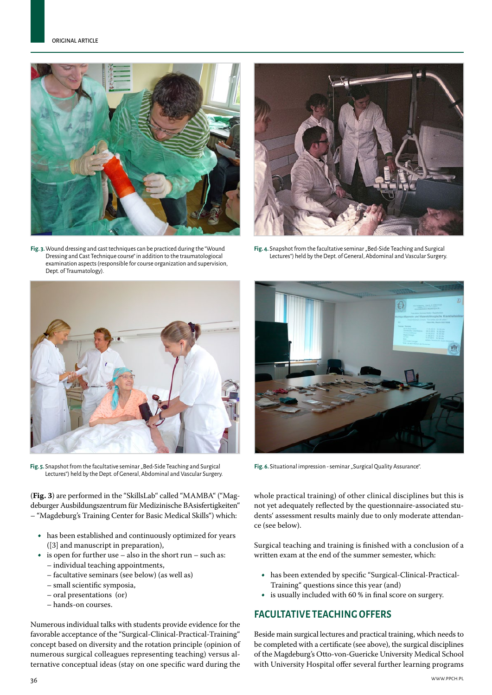

**Fig. 3.** Wound dressing and cast techniques can be practiced during the "Wound Dressing and Cast Technique course" in addition to the traumatologiocal examination aspects (responsible for course organization and supervision, Dept. of Traumatology).



**Fig. 4.** Snapshot from the facultative seminar "Bed-Side Teaching and Surgical Lectures") held by the Dept. of General, Abdominal and Vascular Surgery.



Fig. 5. Snapshot from the facultative seminar "Bed-Side Teaching and Surgical Lectures") held by the Dept. of General, Abdominal and Vascular Surgery.

(**Fig. 3**) are performed in the "SkillsLab" called "MAMBA" ("Magdeburger Ausbildungszentrum für Medizinische BAsisfertigkeiten" – "Magdeburg's Training Center for Basic Medical Skills") which:

- has been established and continuously optimized for years ([3] and manuscript in preparation),
- $\bullet$  is open for further use also in the short run such as:
	- individual teaching appointments,
	- facultative seminars (see below) (as well as)
	- small scientific symposia,
	- oral presentations (or)
	- hands-on courses.

Numerous individual talks with students provide evidence for the favorable acceptance of the "Surgical-Clinical-Practical-Training" concept based on diversity and the rotation principle (opinion of numerous surgical colleagues representing teaching) versus alternative conceptual ideas (stay on one specific ward during the



Fig. 6. Situational impression - seminar "Surgical Quality Assurance".

whole practical training) of other clinical disciplines but this is not yet adequately reflected by the questionnaire-associated students' assessment results mainly due to only moderate attendance (see below).

Surgical teaching and training is finished with a conclusion of a written exam at the end of the summer semester, which:

- has been extended by specific "Surgical-Clinical-Practical-Training" questions since this year (and)
- is usually included with  $60%$  in final score on surgery.

# **Facultative teaching offers**

Beside main surgical lectures and practical training, which needs to be completed with a certificate (see above), the surgical disciplines of the Magdeburg's Otto-von-Guericke University Medical School with University Hospital offer several further learning programs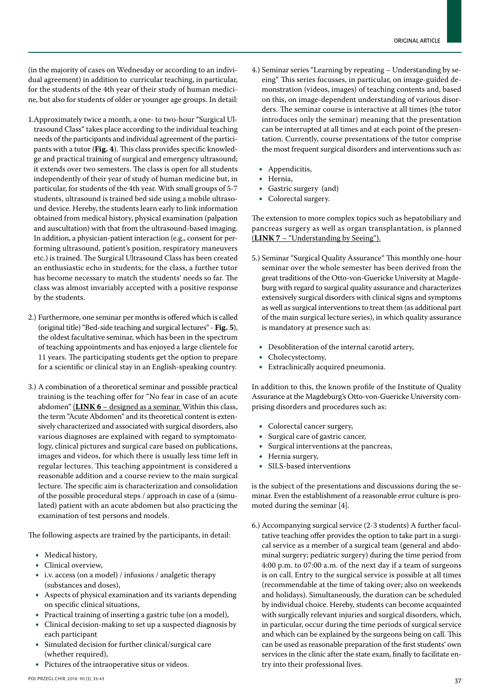(in the majority of cases on Wednesday or according to an individual agreement) in addition to curricular teaching, in particular, for the students of the 4th year of their study of human medicine, but also for students of older or younger age groups. In detail:

- 1.Approximately twice a month, a one- to two-hour "Surgical Ultrasound Class" takes place according to the individual teaching needs of the participants and individual agreement of the participants with a tutor (**Fig. 4**). This class provides specific knowledge and practical training of surgical and emergency ultrasound; it extends over two semesters. The class is open for all students independently of their year of study of human medicine but, in particular, for students of the 4th year. With small groups of 5-7 students, ultrasound is trained bed side using a mobile ultrasound device. Hereby, the students learn early to link information obtained from medical history, physical examination (palpation and auscultation) with that from the ultrasound-based imaging. In addition, a physician-patient interaction (e.g., consent for performing ultrasound, patient's position, respiratory maneuvers etc.) is trained. The Surgical Ultrasound Class has been created an enthusiastic echo in students; for the class, a further tutor has become necessary to match the students' needs so far. The class was almost invariably accepted with a positive response by the students.
- 2.) Furthermore, one seminar per months is offered which is called (original title) "Bed-side teaching and surgical lectures" - **Fig. 5**), the oldest facultative seminar, which has been in the spectrum of teaching appointments and has enjoyed a large clientele for 11 years. The participating students get the option to prepare for a scientific or clinical stay in an English-speaking country.
- 3.) A combination of a theoretical seminar and possible practical training is the teaching offer for "No fear in case of an acute abdomen" (**LINK 6** [– designed as a seminar. Within this class,](http://ppch.pl/api/myfiles/download/458742)  [the term "Acute Abdomen" and its theoretical content is exten](http://ppch.pl/api/myfiles/download/458742)[sively characterized and associated with surgical disorders, also](http://ppch.pl/api/myfiles/download/458742)  [various diagnoses are explained with regard to symptomato](http://ppch.pl/api/myfiles/download/458742)[logy, clinical pictures and surgical care based on publications,](http://ppch.pl/api/myfiles/download/458742)  [images and videos, for which there is usually less time left in](http://ppch.pl/api/myfiles/download/458742)  [regular lectures. This teaching appointment is considered a](http://ppch.pl/api/myfiles/download/458742)  [reasonable addition and a course review to the main surgical](http://ppch.pl/api/myfiles/download/458742)  [lecture. The specific aim is characterization and consolidation](http://ppch.pl/api/myfiles/download/458742)  [of the possible procedural steps / approach in case of a \(simu](http://ppch.pl/api/myfiles/download/458742)[lated\)](http://ppch.pl/api/myfiles/download/458742) patient with an acute abdomen but also practicing the examination of test persons and models.

The following aspects are trained by the participants, in detail:

- Medical history,
- • Clinical overview,
- i.v. access (on a model) / infusions / analgetic therapy (substances and doses),
- Aspects of physical examination and its variants depending on specific clinical situations,
- • Practical training of inserting a gastric tube (on a model),
- Clinical decision-making to set up a suspected diagnosis by each participant
- Simulated decision for further clinical/surgical care (whether required),
- Pictures of the intraoperative situs or videos.
- 4.) Seminar series "Learning by repeating Understanding by seeing" This series focusses, in particular, on image-guided demonstration (videos, images) of teaching contents and, based on this, on image-dependent understanding of various disorders. The seminar course is interactive at all times (the tutor introduces only the seminar) meaning that the presentation can be interrupted at all times and at each point of the presentation. Currently, course presentations of the tutor comprise the most frequent surgical disorders and interventions such as:
	- Appendicitis,
	- • Hernia,
	- • Gastric surgery (and)
	- Colorectal surgery.

The extension to more complex topics such as hepatobiliary and pancreas surgery as well as organ transplantation, is planned (**LINK 7** [– "Understanding by Seeing"\).](http://ppch.pl/api/myfiles/download/458743)

- 5.) Seminar "Surgical Quality Assurance" This monthly one-hour seminar over the whole semester has been derived from the great traditions of the Otto-von-Guericke University at Magdeburg with regard to surgical quality assurance and characterizes extensively surgical disorders with clinical signs and symptoms as well as surgical interventions to treat them (as additional part of the main surgical lecture series), in which quality assurance is mandatory at presence such as:
	- Desobliteration of the internal carotid artery,<br>• Cholecystectomy.
	- Cholecystectomy,
	- • Extraclinically acquired pneumonia.

In addition to this, the known profile of the Institute of Quality Assurance at the Magdeburg's Otto-von-Guericke University comprising disorders and procedures such as:

- Colorectal cancer surgery,
- Surgical care of gastric cancer,
- Surgical interventions at the pancreas,<br>• Hernia surgery.
- Hernia surgery,<br>• SILS-based inte
- SILS-based interventions

is the subject of the presentations and discussions during the seminar. Even the establishment of a reasonable error culture is promoted during the seminar [4].

6.) Accompanying surgical service (2-3 students) A further facultative teaching offer provides the option to take part in a surgical service as a member of a surgical team (general and abdominal surgery; pediatric surgery) during the time period from 4:00 p.m. to 07:00 a.m. of the next day if a team of surgeons is on call. Entry to the surgical service is possible at all times (recommendable at the time of taking over; also on weekends and holidays). Simultaneously, the duration can be scheduled by individual choice. Hereby, students can become acquainted with surgically relevant injuries and surgical disorders, which, in particular, occur during the time periods of surgical service and which can be explained by the surgeons being on call. This can be used as reasonable preparation of the first students' own services in the clinic after the state exam, finally to facilitate entry into their professional lives.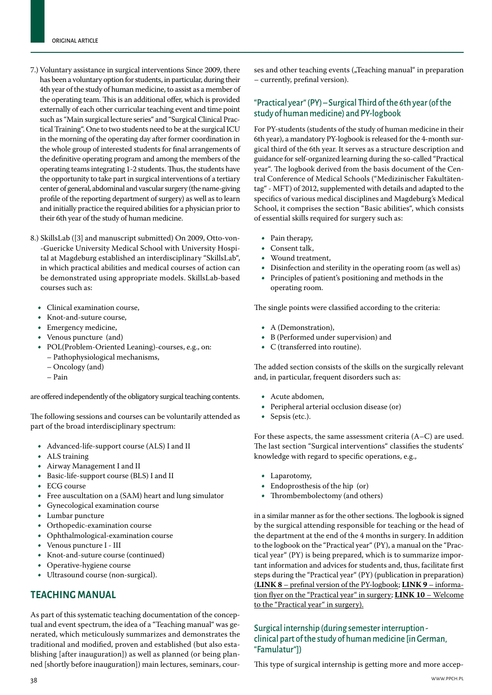- 7.) Voluntary assistance in surgical interventions Since 2009, there has been a voluntary option for students, in particular, during their 4th year of the study of human medicine, to assist as a member of the operating team. This is an additional offer, which is provided externally of each other curricular teaching event and time point such as "Main surgical lecture series" and "Surgical Clinical Practical Training". One to two students need to be at the surgical ICU in the morning of the operating day after former coordination in the whole group of interested students for final arrangements of the definitive operating program and among the members of the operating teams integrating 1-2 students. Thus, the students have the opportunity to take part in surgical interventions of a tertiary center of general, abdominal and vascular surgery (the name-giving profile of the reporting department of surgery) as well as to learn and initially practice the required abilities for a physician prior to their 6th year of the study of human medicine.
- 8.) SkillsLab ([3] and manuscript submitted) On 2009, Otto-von- -Guericke University Medical School with University Hospital at Magdeburg established an interdisciplinary "SkillsLab", in which practical abilities and medical courses of action can be demonstrated using appropriate models. SkillsLab-based courses such as:
	- • Clinical examination course,
	- • Knot-and-suture course,
	- • Emergency medicine,
	- • Venous puncture (and)
	- • POL(Problem-Oriented Leaning)-courses, e.g., on: – Pathophysiological mechanisms,
		- Oncology (and)
		- Pain

are offered independently of the obligatory surgical teaching contents.

The following sessions and courses can be voluntarily attended as part of the broad interdisciplinary spectrum:

- Advanced-life-support course (ALS) I and II<br>• ALS training
- ALS training
- • Airway Management I and II
- • Basic-life-support course (BLS) I and II
- • ECG course
- Free auscultation on a (SAM) heart and lung simulator
- • Gynecological examination course
- • Lumbar puncture
- • Orthopedic-examination course
- Ophthalmological-examination course
- Venous puncture I III
- Knot-and-suture course (continued)
- Operative-hygiene course
- • Ultrasound course (non-surgical).

# **Teaching manual**

As part of this systematic teaching documentation of the conceptual and event spectrum, the idea of a "Teaching manual" was generated, which meticulously summarizes and demonstrates the traditional and modified, proven and established (but also establishing [after inauguration]) as well as planned (or being planned [shortly before inauguration]) main lectures, seminars, courses and other teaching events  $\binom{n}{k}$  Teaching manual " in preparation – currently, prefinal version).

## "Practical year" (PY) – Surgical Third of the 6th year (of the study of human medicine) and PY-logbook

For PY-students (students of the study of human medicine in their 6th year), a mandatory PY-logbook is released for the 4-month surgical third of the 6th year. It serves as a structure description and guidance for self-organized learning during the so-called "Practical year". The logbook derived from the basis document of the Central Conference of Medical Schools ("Medizinischer Fakultätentag" - MFT) of 2012, supplemented with details and adapted to the specifics of various medical disciplines and Magdeburg's Medical School, it comprises the section "Basic abilities", which consists of essential skills required for surgery such as:

- Pain therapy,
- Consent talk,
- Wound treatment,
- • Disinfection and sterility in the operating room (as well as)
- Principles of patient's positioning and methods in the operating room.

The single points were classified according to the criteria:

- A (Demonstration),
- • B (Performed under supervision) and
- • C (transferred into routine).

The added section consists of the skills on the surgically relevant and, in particular, frequent disorders such as:

- • Acute abdomen,
- Peripheral arterial occlusion disease (or)
- Sepsis (etc.).

For these aspects, the same assessment criteria (A–C) are used. The last section "Surgical interventions" classifies the students' knowledge with regard to specific operations, e.g.,

- Laparotomy,
- Endoprosthesis of the hip (or)
- Thrombembolectomy (and others)

in a similar manner as for the other sections. The logbook is signed by the surgical attending responsible for teaching or the head of the department at the end of the 4 months in surgery. In addition to the logbook on the "Practical year" (PY), a manual on the "Practical year" (PY) is being prepared, which is to summarize important information and advices for students and, thus, facilitate first steps during the "Practical year" (PY) (publication in preparation) (**LINK 8** [– prefinal version of the PY-logbook](http://ppch.pl/api/myfiles/download/458744); **LINK 9** [– informa](http://ppch.pl/api/myfiles/download/458745)[tion flyer on the "Practical year" in surgery;](http://ppch.pl/api/myfiles/download/458745) **LINK 10** [– Welcome](http://ppch.pl/api/myfiles/download/458746) [to the "Practical year" in surgery\).](http://ppch.pl/api/myfiles/download/458746)

## Surgical internship (during semester interruption clinical part of the study of human medicine [in German, "Famulatur"])

This type of surgical internship is getting more and more accep-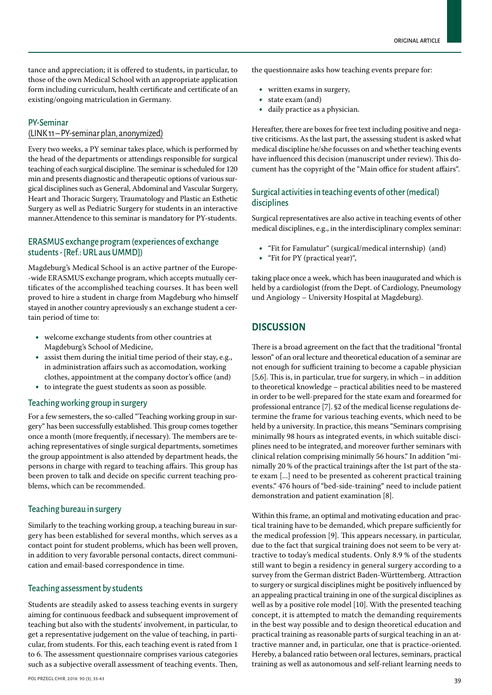tance and appreciation; it is offered to students, in particular, to those of the own Medical School with an appropriate application form including curriculum, health certificate and certificate of an existing/ongoing matriculation in Germany.

#### PY-Seminar

#### [\(LINK 11 – PY-seminar plan, anonymized\)](http://ppch.pl/api/myfiles/download/459096)

Every two weeks, a PY seminar takes place, which is performed by the head of the departments or attendings responsible for surgical teaching of each surgical discipline. The seminar is scheduled for 120 min and presents diagnostic and therapeutic options of various surgical disciplines such as General, Abdominal and Vascular Surgery, Heart and Thoracic Surgery, Traumatology and Plastic an Esthetic Surgery as well as Pediatric Surgery for students in an interactive manner.Attendence to this seminar is mandatory for PY-students.

# ERASMUS exchange program (experiences of exchange students - [Ref.: URL aus UMMD])

Magdeburg's Medical School is an active partner of the Europe- -wide ERASMUS exchange program, which accepts mutually certificates of the accomplished teaching courses. It has been well proved to hire a student in charge from Magdeburg who himself stayed in another country apreviously s an exchange student a certain period of time to:

- • welcome exchange students from other countries at Magdeburg's School of Medicine,
- assist them during the initial time period of their stay, e.g., in administration affairs such as accomodation, working clothes, appointment at the company doctor's office (and)
- to integrate the guest students as soon as possible.

#### Teaching working group in surgery

For a few semesters, the so-called "Teaching working group in surgery" has been successfully established. This group comes together once a month (more frequently, if necessary). The members are teaching representatives of single surgical departments, sometimes the group appointment is also attended by department heads, the persons in charge with regard to teaching affairs. This group has been proven to talk and decide on specific current teaching problems, which can be recommended.

#### Teaching bureau in surgery

Similarly to the teaching working group, a teaching bureau in surgery has been established for several months, which serves as a contact point for student problems, which has been well proven, in addition to very favorable personal contacts, direct communication and email-based correspondence in time.

#### Teaching assessment by students

Students are steadily asked to assess teaching events in surgery aiming for continuous feedback and subsequent improvement of teaching but also with the students' involvement, in particular, to get a representative judgement on the value of teaching, in particular, from students. For this, each teaching event is rated from 1 to 6. The assessment questionnaire comprises various categories such as a subjective overall assessment of teaching events. Then,

#### the questionnaire asks how teaching events prepare for:

- • written exams in surgery,
- • state exam (and)
- • daily practice as a physician.

Hereafter, there are boxes for free text including positive and negative criticisms. As the last part, the assessing student is asked what medical discipline he/she focusses on and whether teaching events have influenced this decision (manuscript under review). This document has the copyright of the "Main office for student affairs".

### Surgical activities in teaching events of other (medical) disciplines

Surgical representatives are also active in teaching events of other medical disciplines, e.g., in the interdisciplinary complex seminar:

- • "Fit for Famulatur" (surgical/medical internship) (and)
- • "Fit for PY (practical year)",

taking place once a week, which has been inaugurated and which is held by a cardiologist (from the Dept. of Cardiology, Pneumology und Angiology – University Hospital at Magdeburg).

## **Discussion**

There is a broad agreement on the fact that the traditional "frontal lesson" of an oral lecture and theoretical education of a seminar are not enough for sufficient training to become a capable physician [5,6]. This is, in particular, true for surgery, in which – in addition to theoretical knowledge – practical abilities need to be mastered in order to be well-prepared for the state exam and forearmed for professional entrance [7]. §2 of the medical license regulations determine the frame for various teaching events, which need to be held by a university. In practice, this means "Seminars comprising minimally 98 hours as integrated events, in which suitable disciplines need to be integrated, and moreover further seminars with clinical relation comprising minimally 56 hours." In addition "minimally 20 % of the practical trainings after the 1st part of the state exam [...] need to be presented as coherent practical training events." 476 hours of "bed-side-training" need to include patient demonstration and patient examination [8].

Within this frame, an optimal and motivating education and practical training have to be demanded, which prepare sufficiently for the medical profession [9]. This appears necessary, in particular, due to the fact that surgical training does not seem to be very attractive to today's medical students. Only 8.9 % of the students still want to begin a residency in general surgery according to a survey from the German district Baden-Württemberg. Attraction to surgery or surgical disciplines might be positively influenced by an appealing practical training in one of the surgical disciplines as well as by a positive role model [10]. With the presented teaching concept, it is attempted to match the demanding requirements in the best way possible and to design theoretical education and practical training as reasonable parts of surgical teaching in an attractive manner and, in particular, one that is practice-oriented. Hereby, a balanced ratio between oral lectures, seminars, practical training as well as autonomous and self-reliant learning needs to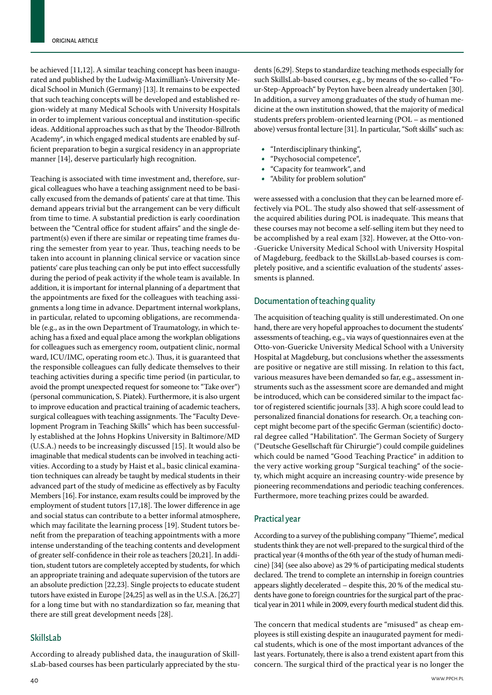be achieved [11,12]. A similar teaching concept has been inaugurated and published by the Ludwig-Maximillian's-University Medical School in Munich (Germany) [13]. It remains to be expected that such teaching concepts will be developed and established region-widely at many Medical Schools with University Hospitals in order to implement various conceptual and institution-specific ideas. Additional approaches such as that by the Theodor-Billroth Academy®, in which engaged medical students are enabled by sufficient preparation to begin a surgical residency in an appropriate manner [14], deserve particularly high recognition.

Teaching is associated with time investment and, therefore, surgical colleagues who have a teaching assignment need to be basically excused from the demands of patients' care at that time. This demand appears trivial but the arrangement can be very difficult from time to time. A substantial prediction is early coordination between the "Central office for student affairs" and the single department(s) even if there are similar or repeating time frames during the semester from year to year. Thus, teaching needs to be taken into account in planning clinical service or vacation since patients' care plus teaching can only be put into effect successfully during the period of peak activity if the whole team is available. In addition, it is important for internal planning of a department that the appointments are fixed for the colleagues with teaching assignments a long time in advance. Department internal workplans, in particular, related to upcoming obligations, are recommendable (e.g., as in the own Department of Traumatology, in which teaching has a fixed and equal place among the workplan obligations for colleagues such as emergency room, outpatient clinic, normal ward, ICU/IMC, operating room etc.). Thus, it is guaranteed that the responsible colleagues can fully dedicate themselves to their teaching activities during a specific time period (in particular, to avoid the prompt unexpected request for someone to: "Take over") (personal communication, S. Piatek). Furthermore, it is also urgent to improve education and practical training of academic teachers, surgical colleagues with teaching assignments. The "Faculty Development Program in Teaching Skills" which has been successfully established at the Johns Hopkins University in Baltimore/MD (U.S.A.) needs to be increasingly discussed [15]. It would also be imaginable that medical students can be involved in teaching activities. According to a study by Haist et al., basic clinical examination techniques can already be taught by medical students in their advanced part of the study of medicine as effectively as by Faculty Members [16]. For instance, exam results could be improved by the employment of student tutors [17,18]. The lower difference in age and social status can contribute to a better informal atmosphere, which may facilitate the learning process [19]. Student tutors benefit from the preparation of teaching appointments with a more intense understanding of the teaching contents and development of greater self-confidence in their role as teachers [20,21]. In addition, student tutors are completely accepted by students, for which an appropriate training and adequate supervision of the tutors are an absolute prediction [22,23]. Single projects to educate student tutors have existed in Europe [24,25] as well as in the U.S.A. [26,27] for a long time but with no standardization so far, meaning that there are still great development needs [28].

#### SkillsLab

According to already published data, the inauguration of SkillsLab-based courses has been particularly appreciated by the students [6,29]. Steps to standardize teaching methods especially for such SkillsLab-based courses, e.g., by means of the so-called "Four-Step-Approach" by Peyton have been already undertaken [30]. In addition, a survey among graduates of the study of human medicine at the own institution showed, that the majority of medical students prefers problem-oriented learning (POL – as mentioned above) versus frontal lecture [31]. In particular, "Soft skills" such as:

- "Interdisciplinary thinking",
- • "Psychosocial competence",
- "Capacity for teamwork", and
- "Ability for problem solution"

were assessed with a conclusion that they can be learned more effectively via POL. The study also showed that self-assessment of the acquired abilities during POL is inadequate. This means that these courses may not become a self-selling item but they need to be accomplished by a real exam [32]. However, at the Otto-von- -Guericke University Medical School with University Hospital of Magdeburg, feedback to the SkillsLab-based courses is completely positive, and a scientific evaluation of the students' assessments is planned.

#### Documentation of teaching quality

The acquisition of teaching quality is still underestimated. On one hand, there are very hopeful approaches to document the students' assessments of teaching, e.g., via ways of questionnaires even at the Otto-von-Guericke University Medical School with a University Hospital at Magdeburg, but conclusions whether the assessments are positive or negative are still missing. In relation to this fact, various measures have been demanded so far, e.g., assessment instruments such as the assessment score are demanded and might be introduced, which can be considered similar to the impact factor of registered scientific journals [33]. A high score could lead to personalized financial donations for research. Or, a teaching concept might become part of the specific German (scientific) doctoral degree called "Habilitation". The German Society of Surgery ("Deutsche Gesellschaft für Chirurgie") could compile guidelines which could be named "Good Teaching Practice" in addition to the very active working group "Surgical teaching" of the society, which might acquire an increasing country-wide presence by pioneering recommendations and periodic teaching conferences. Furthermore, more teaching prizes could be awarded.

# Practical year

According to a survey of the publishing company "Thieme", medical students think they are not well-prepared to the surgical third of the practical year (4 months of the 6th year of the study of human medicine) [34] (see also above) as 29 % of participating medical students declared. The trend to complete an internship in foreign countries appears slightly decelerated – despite this, 20 % of the medical students have gone to foreign countries for the surgical part of the practical year in 2011 while in 2009, every fourth medical student did this.

The concern that medical students are "misused" as cheap employees is still existing despite an inaugurated payment for medical students, which is one of the most important advances of the last years. Fortunately, there is also a trend existent apart from this concern. The surgical third of the practical year is no longer the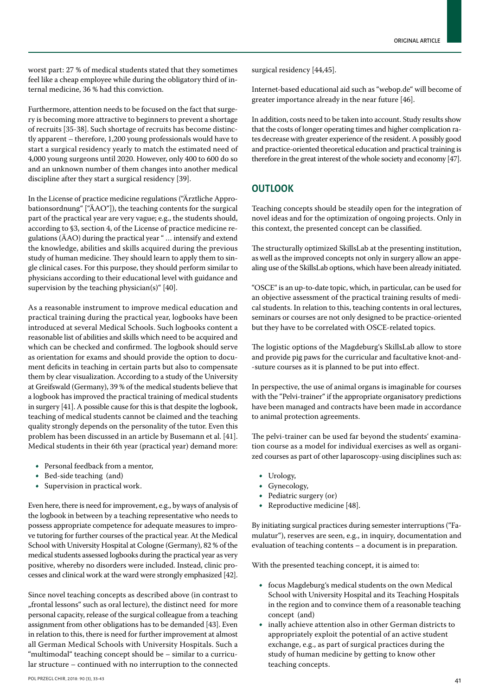worst part: 27 % of medical students stated that they sometimes feel like a cheap employee while during the obligatory third of internal medicine, 36 % had this conviction.

Furthermore, attention needs to be focused on the fact that surgery is becoming more attractive to beginners to prevent a shortage of recruits [35-38]. Such shortage of recruits has become distinctly apparent – therefore, 1,200 young professionals would have to start a surgical residency yearly to match the estimated need of 4,000 young surgeons until 2020. However, only 400 to 600 do so and an unknown number of them changes into another medical discipline after they start a surgical residency [39].

In the License of practice medicine regulations ("Ärztliche Approbationsordnung" ["ÄAO"]), the teaching contents for the surgical part of the practical year are very vague; e.g., the students should, according to §3, section 4, of the License of practice medicine regulations (ÄAO) during the practical year " … intensify and extend the knowledge, abilities and skills acquired during the previous study of human medicine. They should learn to apply them to single clinical cases. For this purpose, they should perform similar to physicians according to their educational level with guidance and supervision by the teaching physician(s)" [40].

As a reasonable instrument to improve medical education and practical training during the practical year, logbooks have been introduced at several Medical Schools. Such logbooks content a reasonable list of abilities and skills which need to be acquired and which can be checked and confirmed. The logbook should serve as orientation for exams and should provide the option to document deficits in teaching in certain parts but also to compensate them by clear visualization. According to a study of the University at Greifswald (Germany), 39 % of the medical students believe that a logbook has improved the practical training of medical students in surgery [41]. A possible cause for this is that despite the logbook, teaching of medical students cannot be claimed and the teaching quality strongly depends on the personality of the tutor. Even this problem has been discussed in an article by Busemann et al. [41]. Medical students in their 6th year (practical year) demand more:

- • Personal feedback from a mentor,
- Bed-side teaching (and)<br>• Supervision in practical
- Supervision in practical work.

Even here, there is need for improvement, e.g., by ways of analysis of the logbook in between by a teaching representative who needs to possess appropriate competence for adequate measures to improve tutoring for further courses of the practical year. At the Medical School with University Hospital at Cologne (Germany), 82 % of the medical students assessed logbooks during the practical year as very positive, whereby no disorders were included. Instead, clinic processes and clinical work at the ward were strongly emphasized [42].

Since novel teaching concepts as described above (in contrast to "frontal lessons" such as oral lecture), the distinct need for more personal capacity, release of the surgical colleague from a teaching assignment from other obligations has to be demanded [43]. Even in relation to this, there is need for further improvement at almost all German Medical Schools with University Hospitals. Such a "multimodal" teaching concept should be – similar to a curricular structure – continued with no interruption to the connected

surgical residency [44,45].

Internet-based educational aid such as "webop.de" will become of greater importance already in the near future [46].

In addition, costs need to be taken into account. Study results show that the costs of longer operating times and higher complication rates decrease with greater experience of the resident. A possibly good and practice-oriented theoretical education and practical training is therefore in the great interest of the whole society and economy [47].

# **Outlook**

Teaching concepts should be steadily open for the integration of novel ideas and for the optimization of ongoing projects. Only in this context, the presented concept can be classified.

The structurally optimized SkillsLab at the presenting institution, as well as the improved concepts not only in surgery allow an appealing use of the SkillsLab options, which have been already initiated.

"OSCE" is an up-to-date topic, which, in particular, can be used for an objective assessment of the practical training results of medical students. In relation to this, teaching contents in oral lectures, seminars or courses are not only designed to be practice-oriented but they have to be correlated with OSCE-related topics.

The logistic options of the Magdeburg's SkillsLab allow to store and provide pig paws for the curricular and facultative knot-and- -suture courses as it is planned to be put into effect.

In perspective, the use of animal organs is imaginable for courses with the "Pelvi-trainer" if the appropriate organisatory predictions have been managed and contracts have been made in accordance to animal protection agreements.

The pelvi-trainer can be used far beyond the students' examination course as a model for individual exercises as well as organized courses as part of other laparoscopy-using disciplines such as:

- • Urology,
- Gynecology,
- Pediatric surgery (or)<br>• Reproductive medicines
- Reproductive medicine [48].

By initiating surgical practices during semester interruptions ("Famulatur"), reserves are seen, e.g., in inquiry, documentation and evaluation of teaching contents – a document is in preparation.

With the presented teaching concept, it is aimed to:

- • focus Magdeburg's medical students on the own Medical School with University Hospital and its Teaching Hospitals in the region and to convince them of a reasonable teaching concept (and)
- • inally achieve attention also in other German districts to appropriately exploit the potential of an active student exchange, e.g., as part of surgical practices during the study of human medicine by getting to know other teaching concepts.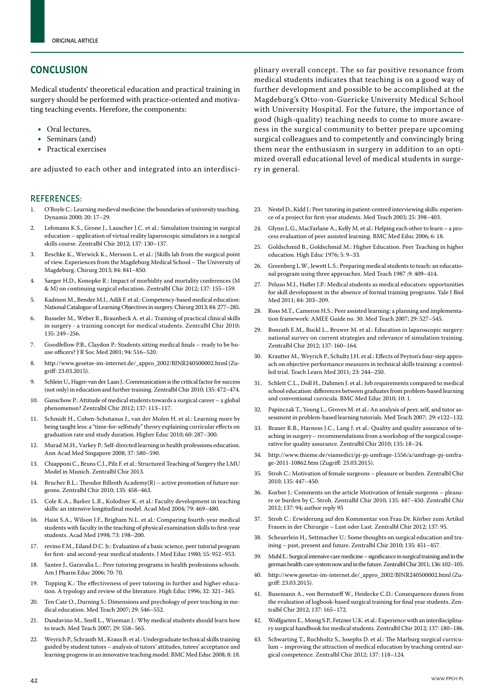# **Conclusion**

Medical students' theoretical education and practical training in surgery should be performed with practice-oriented and motivating teaching events. Herefore, the components:

- Oral lectures,
- Seminars (and)
- Practical exercises

are adjusted to each other and integrated into an interdisci-

#### References:

- 1. O'Boyle C.: Learning medieval medicine: the boundaries of university teaching. Dynamis 2000; 20: 17–29.
- 2. Lehmann K.S., Grone J., Lauscher J.C. et al.: Simulation training in surgical education – application of virtual reality laparoscopic simulators in a surgical skills course. Zentralbl Chir 2012; 137: 130–137.
- 3. Reschke K., Werwick K., Mersson L. et al.: [Skills lab from the surgical point of view. Experiences from the Magdeburg Medical School – The University of Magdeburg. Chirurg 2013; 84: 841–850.
- 4. Saeger H.D., Konopke R.: Impact of morbidity and mortality conferences (M & M) on continuing surgical education. Zentralbl Chir 2012; 137: 155–159.
- 5. Kadmon M., Bender M.J., Adili F. et al.: Competency-based medical education: National Catalogue of Learning Objectives in surgery. Chirurg 2013; 84: 277–285.
- 6. Russeler M., Weber R., Braunbeck A. et al.: Training of practical clinical skills in surgery - a training concept for medical students. Zentralbl Chir 2010; 135: 249–256.
- 7. Goodfellow P.B., Claydon P.: Students sitting medical finals ready to be house officers? J R Soc Med 2001; 94: 516–520.
- 8. http://www.gesetze-im-internet.de/\_appro\_2002/BJNR240500002.html (Zugriff: 23.03.2015).
- 9. Schlein U., Hager-van der Laan J.: Communication is the critical factor for success (not only) in education and further training. Zentralbl Chir 2010; 135: 472–474.
- 10. Ganschow P.: Attitude of medical students towards a surgical career a global phenomenon? Zentralbl Chir 2012; 137: 113–117.
- 11. Schmidt H., Cohen-Schotanus J., van der Molen H. et al.: Learning more by being taught less: a ''time-for-selfstudy'' theory explaining curricular effects on graduation rate and study duration. Higher Educ 2010; 60: 287–300.
- 12. Murad M.H., Varkey P.: Self-directed learning in health professions education. Ann Acad Med Singapore 2008; 37: 580–590.
- 13. Chiapponi C., Bruns C.J., Pilz F. et al.: Structured Teaching of Surgery the LMU Model in Munich. Zentralbl Chir 2013.
- 14. Brucher B.L.: Theodor Billroth Academy(R) active promotion of future surgeons. Zentralbl Chir 2010; 135: 458–463.
- 15. Cole K.A., Barker L.R., Kolodner K. et al.: Faculty development in teaching skills: an intensive longitudinal model. Acad Med 2004; 79: 469–480.
- 16. Haist S.A., Wilson J.F., Brigham N.L. et al.: Comparing fourth-year medical students with faculty in the teaching of physical examination skills to first-year students. Acad Med 1998; 73: 198–200.
- 17. revino F.M., Eiland D.C. Jr.: Evaluation of a basic science, peer tutorial program for first- and second-year medical students. J Med Educ 1980; 55: 952–953.
- 18. Santee J., Garavalia L.: Peer tutoring programs in health professions schools. Am J Pharm Educ 2006; 70: 70.
- 19. Topping K.: The effectiveness of peer tutoring in further and higher education. A typology and review of the literature. High Educ 1996; 32: 321–345.
- 20. Ten Cate O., Durning S.: Dimensions and psychology of peer teaching in medical education. Med Teach 2007; 29: 546–552.
- 21. Dandavino M., Snell L., Wiseman J.: Why medical students should learn how to teach. Med Teach 2007; 29: 558–565.
- 22. Weyrich P., Schrauth M., Kraus B. et al.: Undergraduate technical skills training guided by student tutors – analysis of tutors' attitudes, tutees' acceptance and learning progress in an innovative teaching model. BMC Med Educ 2008; 8: 18.

plinary overall concept. The so far positive resonance from medical students indicates that teaching is on a good way of further development and possible to be accomplished at the Magdeburg's Otto-von-Guericke University Medical School with University Hospital. For the future, the importance of good (high-quality) teaching needs to come to more awareness in the surgical community to better prepare upcoming surgical colleagues and to competently and convincingly bring them near the enthusiasm in surgery in addition to an optimized overall educational level of medical students in surgery in general.

- 23. Nestel D., Kidd J.: Peer tutoring in patient-centred interviewing skills: experience of a project for first-year students. Med Teach 2003; 25: 398–403.
- 24. Glynn L.G., MacFarlane A., Kelly M. et al.: Helping each other to learn a process evaluation of peer assisted learning. BMC Med Educ 2006; 6: 18.
- 25. Goldschmid B., Goldschmid M.: Higher Education. Peer Teaching in higher education. High Educ 1976; 5: 9–33.
- 26. Greenberg L.W., Jewett L.S.: Preparing medical students to teach: an educational program using three approaches. Med Teach 1987 ;9: 409–414.
- Peluso M.J., Hafler J.P.: Medical students as medical educators: opportunities for skill development in the absence of formal training programs. Yale J Biol Med 2011; 84: 203–209.
- 28. Ross M.T., Cameron H.S.: Peer assisted learning: a planning and implementation framework: AMEE Guide no. 30. Med Teach 2007; 29: 527–545.
- 29. Bonrath E.M., Buckl L., Bruwer M. et al.: Education in laparoscopic surgery: national survey on current strategies and relevance of simulation training. Zentralbl Chir 2012; 137: 160–164.
- 30. Krautter M., Weyrich P., Schultz J.H. et al.: Effects of Peyton's four-step approach on objective performance measures in technical skills training: a controlled trial. Teach Learn Med 2011; 23: 244–250.
- 31. Schlett C.L., Doll H., Dahmen J. et al.: Job requirements compared to medical school education: differences between graduates from problem-based learning and conventional curricula. BMC Med Educ 2010; 10: 1.
- 32. Papinczak T., Young L., Groves M. et al.: An analysis of peer, self, and tutor assessment in problem-based learning tutorials. Med Teach 2007; 29: e122–132.
- 33. Brauer R.B., Harnoss J.C., Lang J. et al.: Quality and quality assurance of teaching in surgery – recommendations from a workshop of the surgical cooperative for quality assurance. Zentralbl Chir 2010; 135: 18–24.
- 34. http://www.thieme.de/viamedici/pj-pj-umfrage-1556/a/umfrage-pj-umfrage-2011-10862.htm (Zugriff: 23.03.2015).
- 35. Stroh C.: Motivation of female surgeons pleasure or burden. Zentralbl Chir 2010; 135: 447–450.
- 36. Korber J.: Comments on the article Motivation of female surgeons pleasure or burden by C. Stroh. Zentralbl Chir 2010; 135: 447–450. Zentralbl Chir 2012; 137: 94; author reply 95
- 37. Stroh C.: Erwiderung auf den Kommentar von Frau Dr. Körber zum Artikel Frauen in der Chirurgie – Lust oder Last. Zentralbl Chir 2012; 137: 95.
- 38. Scheuerlein H., Settmacher U.: Some thoughts on surgical education and training – past, present and future. Zentralbl Chir 2010; 135: 451–457.
- 39. Muhl E.: Surgical intensive care medicine significance in surgical training and in the german health-care system now and in the future. Zentralbl Chir 2011; 136: 102–105.
- 40. http://www.gesetze-im-internet.de/\_appro\_2002/BJNR240500002.html (Zugriff: 23.03.2015).
- 41. Busemann A., von Bernstorff W., Heidecke C.D.: Consequences drawn from the evaluation of logbook-based surgical training for final year students. Zentralbl Chir 2012; 137: 165–172.
- 42. Wolfgarten E., Monig S.P., Fetzner U.K. et al.: Experience with an interdisciplinary surgical handbook for medical students. Zentralbl Chir 2012; 137: 180–186.
- 43. Schwarting T., Ruchholtz S., Josephs D. et al.: The Marburg surgical curriculum – improving the attraction of medical education by teaching central surgical competence. Zentralbl Chir 2012; 137: 118–124.